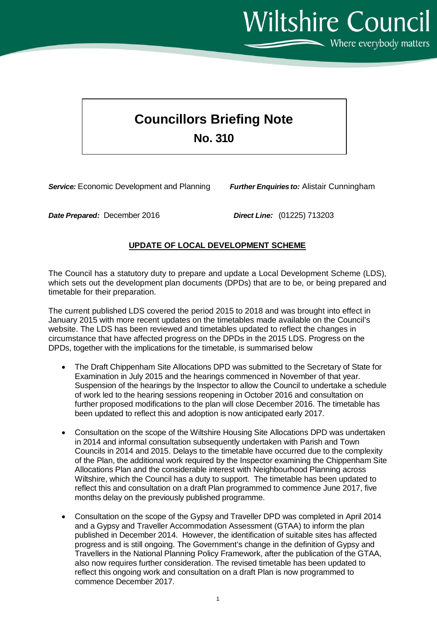Wiltshire Council

 $\sum$  Where everybody matters

## **Councillors Briefing Note No. 310**

*Service:* Economic Development and Planning *Further Enquiries to:* Alistair Cunningham

*Date Prepared:* December 2016 *Direct Line:* (01225) 713203

## **UPDATE OF LOCAL DEVELOPMENT SCHEME**

The Council has a statutory duty to prepare and update a Local Development Scheme (LDS), which sets out the development plan documents (DPDs) that are to be, or being prepared and timetable for their preparation.

The current published LDS covered the period 2015 to 2018 and was brought into effect in January 2015 with more recent updates on the timetables made available on the Council's website. The LDS has been reviewed and timetables updated to reflect the changes in circumstance that have affected progress on the DPDs in the 2015 LDS. Progress on the DPDs, together with the implications for the timetable, is summarised below

- The Draft Chippenham Site Allocations DPD was submitted to the Secretary of State for Examination in July 2015 and the hearings commenced in November of that year. Suspension of the hearings by the Inspector to allow the Council to undertake a schedule of work led to the hearing sessions reopening in October 2016 and consultation on further proposed modifications to the plan will close December 2016. The timetable has been updated to reflect this and adoption is now anticipated early 2017.
- Consultation on the scope of the Wiltshire Housing Site Allocations DPD was undertaken in 2014 and informal consultation subsequently undertaken with Parish and Town Councils in 2014 and 2015. Delays to the timetable have occurred due to the complexity of the Plan, the additional work required by the Inspector examining the Chippenham Site Allocations Plan and the considerable interest with Neighbourhood Planning across Wiltshire, which the Council has a duty to support. The timetable has been updated to reflect this and consultation on a draft Plan programmed to commence June 2017, five months delay on the previously published programme.
- Consultation on the scope of the Gypsy and Traveller DPD was completed in April 2014 and a Gypsy and Traveller Accommodation Assessment (GTAA) to inform the plan published in December 2014. However, the identification of suitable sites has affected progress and is still ongoing. The Government's change in the definition of Gypsy and Travellers in the National Planning Policy Framework, after the publication of the GTAA, also now requires further consideration. The revised timetable has been updated to reflect this ongoing work and consultation on a draft Plan is now programmed to commence December 2017.